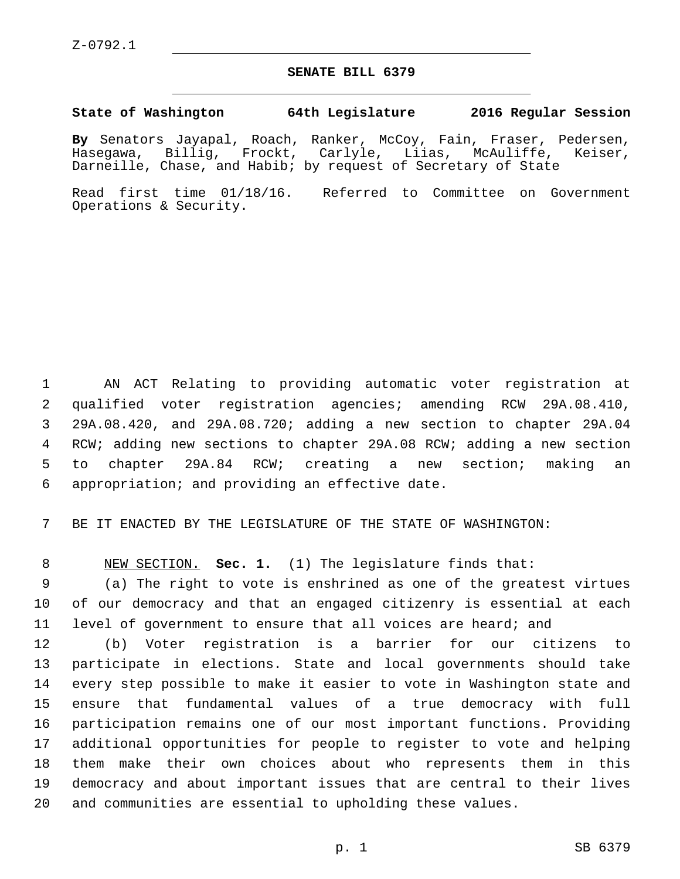## **SENATE BILL 6379**

## **State of Washington 64th Legislature 2016 Regular Session**

**By** Senators Jayapal, Roach, Ranker, McCoy, Fain, Fraser, Pedersen, Hasegawa, Billig, Frockt, Carlyle, Liias, McAuliffe, Keiser, Darneille, Chase, and Habib; by request of Secretary of State

Read first time 01/18/16. Referred to Committee on Government Operations & Security.

 AN ACT Relating to providing automatic voter registration at qualified voter registration agencies; amending RCW 29A.08.410, 29A.08.420, and 29A.08.720; adding a new section to chapter 29A.04 RCW; adding new sections to chapter 29A.08 RCW; adding a new section to chapter 29A.84 RCW; creating a new section; making an 6 appropriation; and providing an effective date.

BE IT ENACTED BY THE LEGISLATURE OF THE STATE OF WASHINGTON:

NEW SECTION. **Sec. 1.** (1) The legislature finds that:

 (a) The right to vote is enshrined as one of the greatest virtues of our democracy and that an engaged citizenry is essential at each level of government to ensure that all voices are heard; and

 (b) Voter registration is a barrier for our citizens to participate in elections. State and local governments should take every step possible to make it easier to vote in Washington state and ensure that fundamental values of a true democracy with full participation remains one of our most important functions. Providing additional opportunities for people to register to vote and helping them make their own choices about who represents them in this democracy and about important issues that are central to their lives and communities are essential to upholding these values.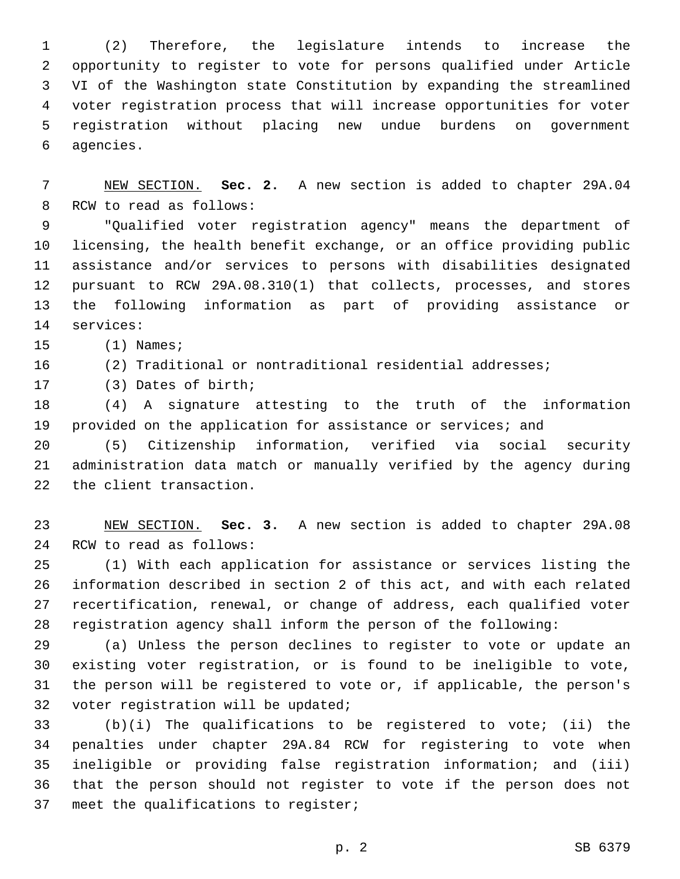(2) Therefore, the legislature intends to increase the opportunity to register to vote for persons qualified under Article VI of the Washington state Constitution by expanding the streamlined voter registration process that will increase opportunities for voter registration without placing new undue burdens on government 6 agencies.

 NEW SECTION. **Sec. 2.** A new section is added to chapter 29A.04 8 RCW to read as follows:

 "Qualified voter registration agency" means the department of licensing, the health benefit exchange, or an office providing public assistance and/or services to persons with disabilities designated pursuant to RCW 29A.08.310(1) that collects, processes, and stores the following information as part of providing assistance or 14 services:

15 (1) Names;

 (2) Traditional or nontraditional residential addresses; 17 (3) Dates of birth;

 (4) A signature attesting to the truth of the information provided on the application for assistance or services; and

 (5) Citizenship information, verified via social security administration data match or manually verified by the agency during 22 the client transaction.

 NEW SECTION. **Sec. 3.** A new section is added to chapter 29A.08 24 RCW to read as follows:

 (1) With each application for assistance or services listing the information described in section 2 of this act, and with each related recertification, renewal, or change of address, each qualified voter registration agency shall inform the person of the following:

 (a) Unless the person declines to register to vote or update an existing voter registration, or is found to be ineligible to vote, the person will be registered to vote or, if applicable, the person's 32 voter registration will be updated;

 (b)(i) The qualifications to be registered to vote; (ii) the penalties under chapter 29A.84 RCW for registering to vote when ineligible or providing false registration information; and (iii) that the person should not register to vote if the person does not 37 meet the qualifications to register;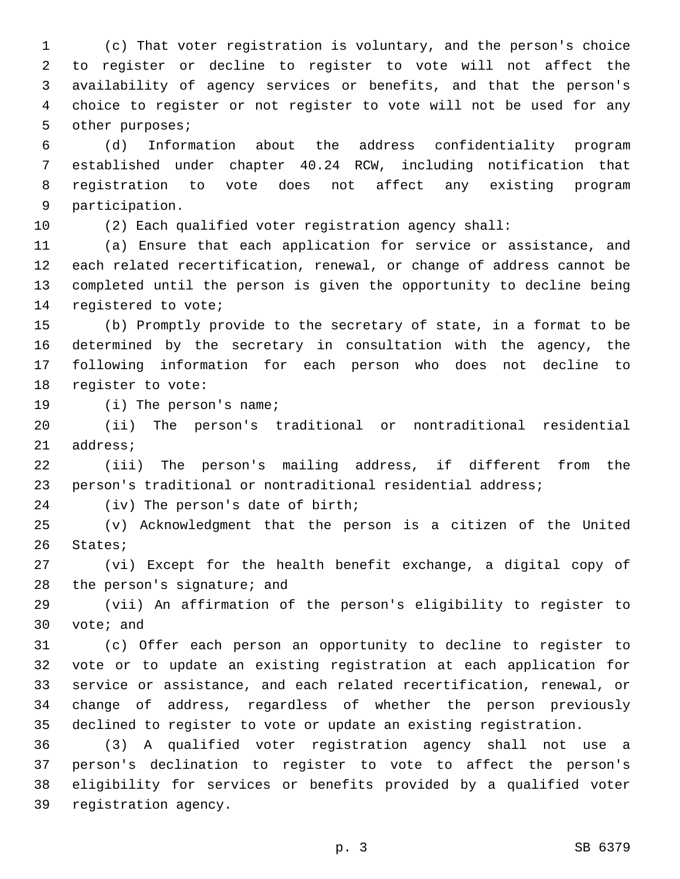(c) That voter registration is voluntary, and the person's choice to register or decline to register to vote will not affect the availability of agency services or benefits, and that the person's choice to register or not register to vote will not be used for any 5 other purposes;

 (d) Information about the address confidentiality program established under chapter 40.24 RCW, including notification that registration to vote does not affect any existing program 9 participation.

(2) Each qualified voter registration agency shall:

 (a) Ensure that each application for service or assistance, and each related recertification, renewal, or change of address cannot be completed until the person is given the opportunity to decline being 14 registered to vote;

 (b) Promptly provide to the secretary of state, in a format to be determined by the secretary in consultation with the agency, the following information for each person who does not decline to 18 reqister to vote:

19 (i) The person's name;

 (ii) The person's traditional or nontraditional residential 21 address;

 (iii) The person's mailing address, if different from the person's traditional or nontraditional residential address;

24 (iv) The person's date of birth;

 (v) Acknowledgment that the person is a citizen of the United 26 States;

 (vi) Except for the health benefit exchange, a digital copy of 28 the person's signature; and

 (vii) An affirmation of the person's eligibility to register to 30 vote; and

 (c) Offer each person an opportunity to decline to register to vote or to update an existing registration at each application for service or assistance, and each related recertification, renewal, or change of address, regardless of whether the person previously declined to register to vote or update an existing registration.

 (3) A qualified voter registration agency shall not use a person's declination to register to vote to affect the person's eligibility for services or benefits provided by a qualified voter 39 registration agency.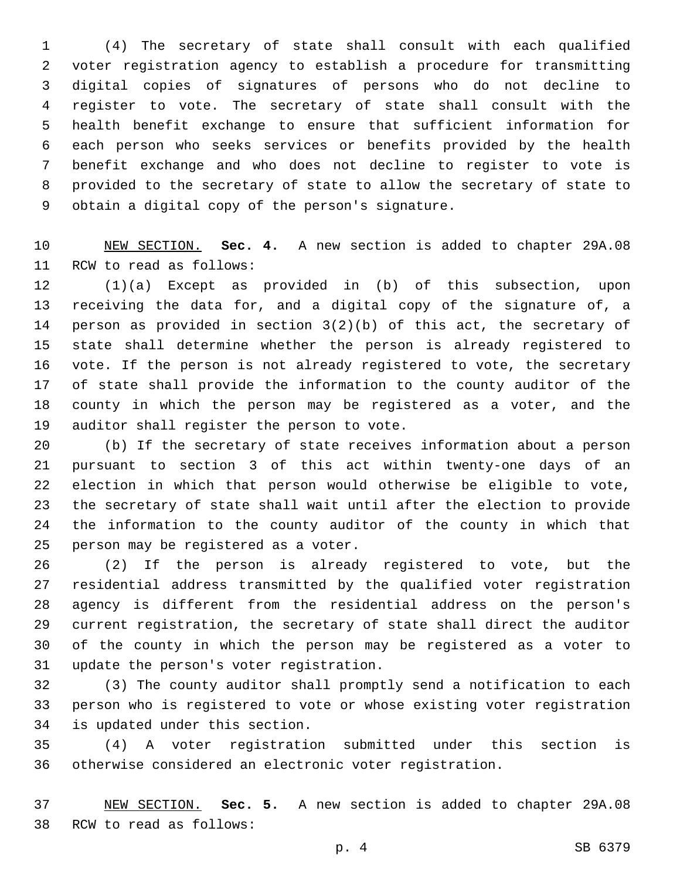(4) The secretary of state shall consult with each qualified voter registration agency to establish a procedure for transmitting digital copies of signatures of persons who do not decline to register to vote. The secretary of state shall consult with the health benefit exchange to ensure that sufficient information for each person who seeks services or benefits provided by the health benefit exchange and who does not decline to register to vote is provided to the secretary of state to allow the secretary of state to 9 obtain a digital copy of the person's signature.

 NEW SECTION. **Sec. 4.** A new section is added to chapter 29A.08 11 RCW to read as follows:

 (1)(a) Except as provided in (b) of this subsection, upon receiving the data for, and a digital copy of the signature of, a person as provided in section 3(2)(b) of this act, the secretary of state shall determine whether the person is already registered to vote. If the person is not already registered to vote, the secretary of state shall provide the information to the county auditor of the county in which the person may be registered as a voter, and the 19 auditor shall register the person to vote.

 (b) If the secretary of state receives information about a person pursuant to section 3 of this act within twenty-one days of an election in which that person would otherwise be eligible to vote, the secretary of state shall wait until after the election to provide the information to the county auditor of the county in which that 25 person may be registered as a voter.

 (2) If the person is already registered to vote, but the residential address transmitted by the qualified voter registration agency is different from the residential address on the person's current registration, the secretary of state shall direct the auditor of the county in which the person may be registered as a voter to 31 update the person's voter registration.

 (3) The county auditor shall promptly send a notification to each person who is registered to vote or whose existing voter registration 34 is updated under this section.

 (4) A voter registration submitted under this section is otherwise considered an electronic voter registration.

 NEW SECTION. **Sec. 5.** A new section is added to chapter 29A.08 38 RCW to read as follows: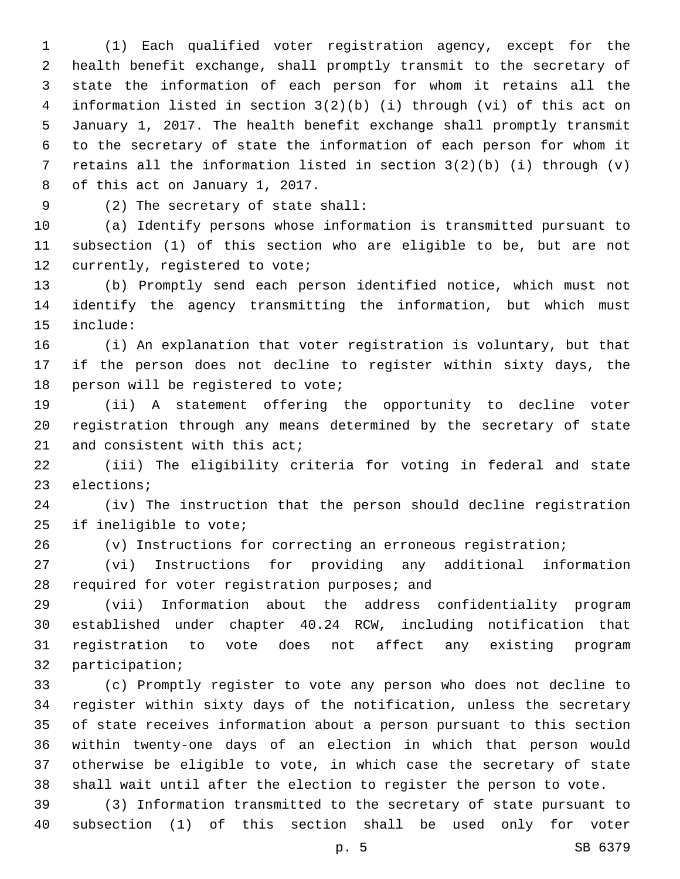(1) Each qualified voter registration agency, except for the health benefit exchange, shall promptly transmit to the secretary of state the information of each person for whom it retains all the information listed in section 3(2)(b) (i) through (vi) of this act on January 1, 2017. The health benefit exchange shall promptly transmit to the secretary of state the information of each person for whom it retains all the information listed in section 3(2)(b) (i) through (v) 8 of this act on January 1, 2017.

(2) The secretary of state shall:9

 (a) Identify persons whose information is transmitted pursuant to subsection (1) of this section who are eligible to be, but are not 12 currently, registered to vote;

 (b) Promptly send each person identified notice, which must not identify the agency transmitting the information, but which must 15 include:

 (i) An explanation that voter registration is voluntary, but that if the person does not decline to register within sixty days, the 18 person will be registered to vote;

 (ii) A statement offering the opportunity to decline voter registration through any means determined by the secretary of state 21 and consistent with this act;

 (iii) The eligibility criteria for voting in federal and state 23 elections;

 (iv) The instruction that the person should decline registration 25 if ineligible to vote;

(v) Instructions for correcting an erroneous registration;

 (vi) Instructions for providing any additional information 28 required for voter registration purposes; and

 (vii) Information about the address confidentiality program established under chapter 40.24 RCW, including notification that registration to vote does not affect any existing program 32 participation;

 (c) Promptly register to vote any person who does not decline to register within sixty days of the notification, unless the secretary of state receives information about a person pursuant to this section within twenty-one days of an election in which that person would otherwise be eligible to vote, in which case the secretary of state shall wait until after the election to register the person to vote.

 (3) Information transmitted to the secretary of state pursuant to subsection (1) of this section shall be used only for voter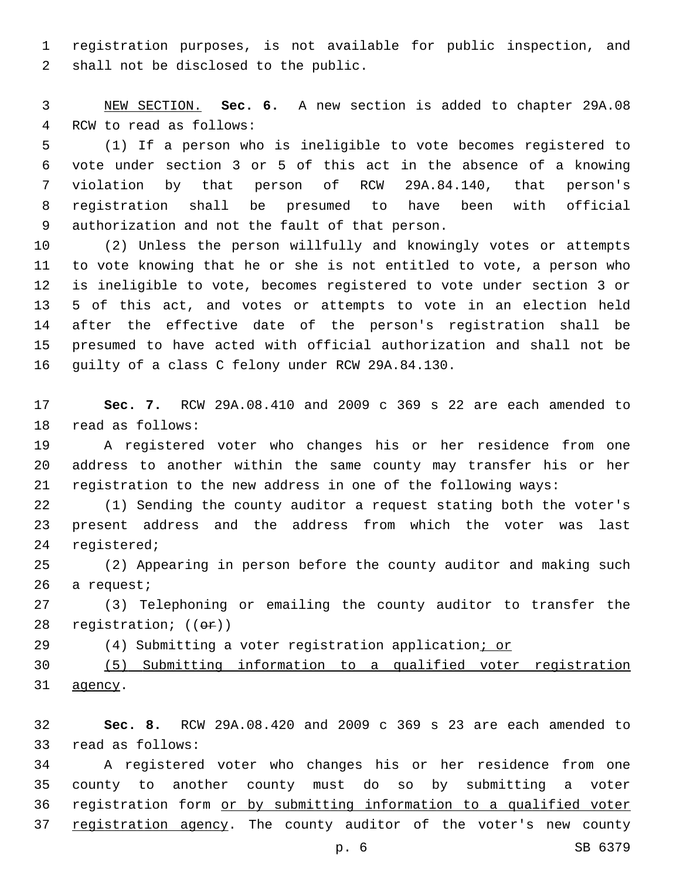registration purposes, is not available for public inspection, and 2 shall not be disclosed to the public.

 NEW SECTION. **Sec. 6.** A new section is added to chapter 29A.08 4 RCW to read as follows:

 (1) If a person who is ineligible to vote becomes registered to vote under section 3 or 5 of this act in the absence of a knowing violation by that person of RCW 29A.84.140, that person's registration shall be presumed to have been with official 9 authorization and not the fault of that person.

 (2) Unless the person willfully and knowingly votes or attempts to vote knowing that he or she is not entitled to vote, a person who is ineligible to vote, becomes registered to vote under section 3 or 5 of this act, and votes or attempts to vote in an election held after the effective date of the person's registration shall be presumed to have acted with official authorization and shall not be 16 guilty of a class C felony under RCW 29A.84.130.

 **Sec. 7.** RCW 29A.08.410 and 2009 c 369 s 22 are each amended to 18 read as follows:

 A registered voter who changes his or her residence from one address to another within the same county may transfer his or her registration to the new address in one of the following ways:

 (1) Sending the county auditor a request stating both the voter's present address and the address from which the voter was last 24 registered;

 (2) Appearing in person before the county auditor and making such 26 a request;

 (3) Telephoning or emailing the county auditor to transfer the 28 registration;  $((\theta \cdot \hat{r}))$ 

29 (4) Submitting a voter registration application; or

 (5) Submitting information to a qualified voter registration 31 agency.

 **Sec. 8.** RCW 29A.08.420 and 2009 c 369 s 23 are each amended to 33 read as follows:

 A registered voter who changes his or her residence from one county to another county must do so by submitting a voter 36 registration form or by submitting information to a qualified voter 37 registration agency. The county auditor of the voter's new county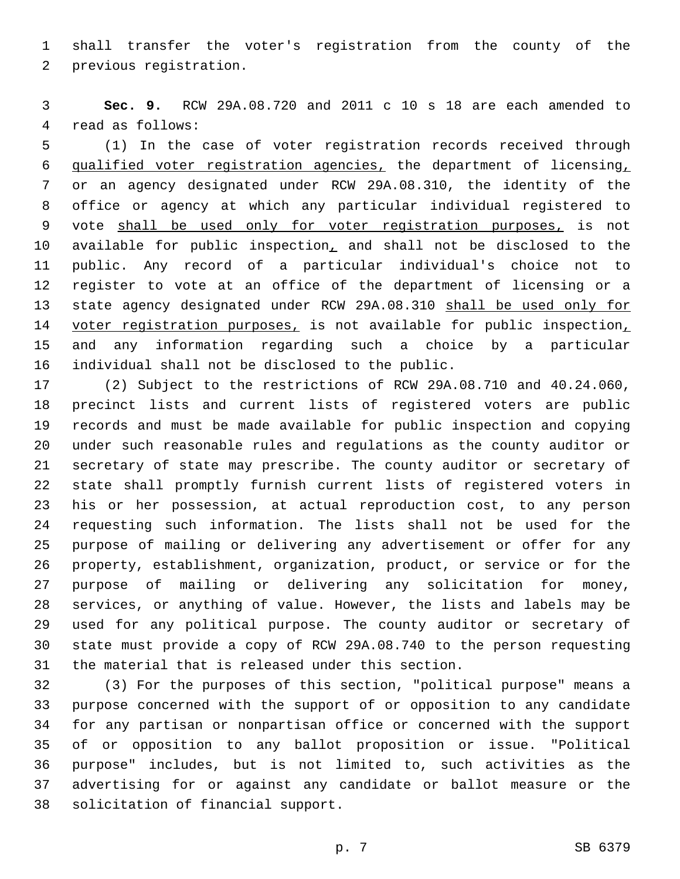shall transfer the voter's registration from the county of the 2 previous registration.

 **Sec. 9.** RCW 29A.08.720 and 2011 c 10 s 18 are each amended to 4 read as follows:

 (1) In the case of voter registration records received through qualified voter registration agencies, the department of licensing, or an agency designated under RCW 29A.08.310, the identity of the office or agency at which any particular individual registered to vote shall be used only for voter registration purposes, is not 10 available for public inspection, and shall not be disclosed to the public. Any record of a particular individual's choice not to register to vote at an office of the department of licensing or a state agency designated under RCW 29A.08.310 shall be used only for 14 voter registration purposes, is not available for public inspection, and any information regarding such a choice by a particular 16 individual shall not be disclosed to the public.

 (2) Subject to the restrictions of RCW 29A.08.710 and 40.24.060, precinct lists and current lists of registered voters are public records and must be made available for public inspection and copying under such reasonable rules and regulations as the county auditor or secretary of state may prescribe. The county auditor or secretary of state shall promptly furnish current lists of registered voters in his or her possession, at actual reproduction cost, to any person requesting such information. The lists shall not be used for the purpose of mailing or delivering any advertisement or offer for any property, establishment, organization, product, or service or for the purpose of mailing or delivering any solicitation for money, services, or anything of value. However, the lists and labels may be used for any political purpose. The county auditor or secretary of state must provide a copy of RCW 29A.08.740 to the person requesting 31 the material that is released under this section.

 (3) For the purposes of this section, "political purpose" means a purpose concerned with the support of or opposition to any candidate for any partisan or nonpartisan office or concerned with the support of or opposition to any ballot proposition or issue. "Political purpose" includes, but is not limited to, such activities as the advertising for or against any candidate or ballot measure or the 38 solicitation of financial support.

p. 7 SB 6379